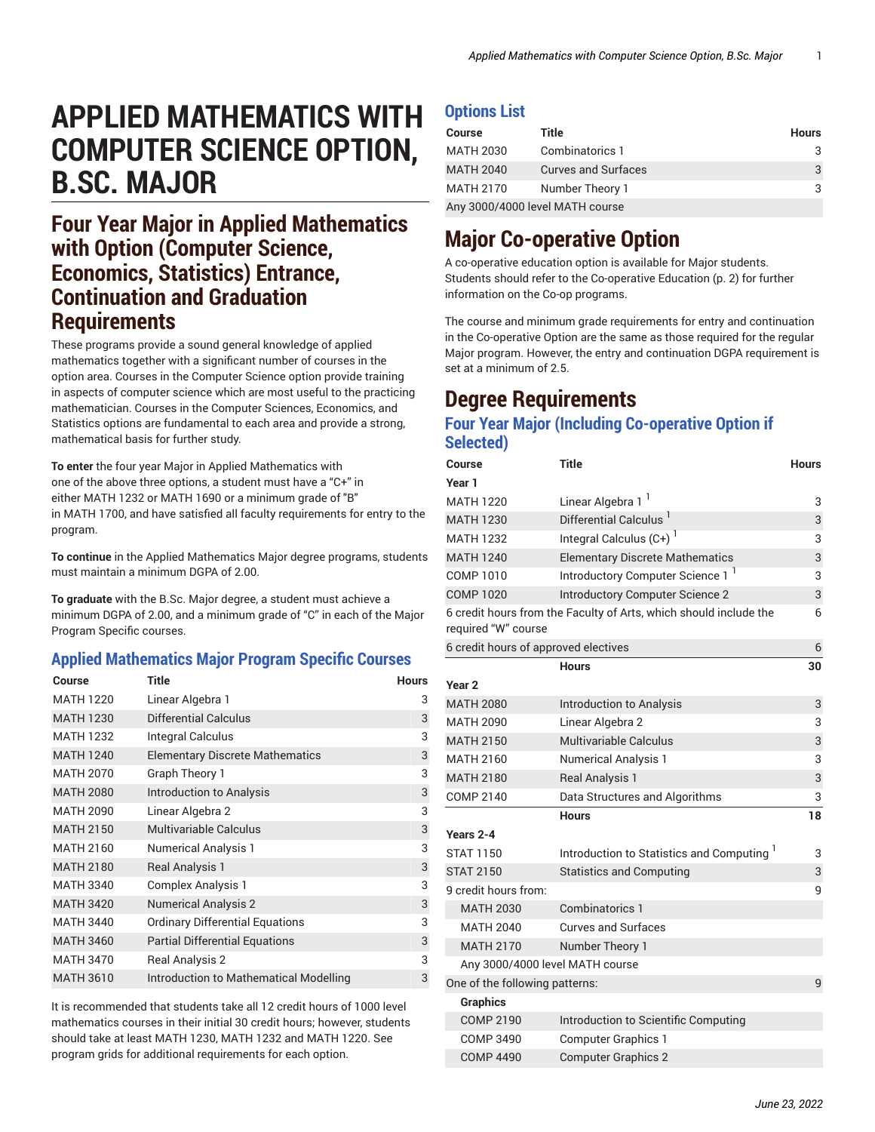# **APPLIED MATHEMATICS WITH COMPUTER SCIENCE OPTION, B.SC. MAJOR**

## **Four Year Major in Applied Mathematics with Option (Computer Science, Economics, Statistics) Entrance, Continuation and Graduation Requirements**

These programs provide a sound general knowledge of applied mathematics together with a significant number of courses in the option area. Courses in the Computer Science option provide training in aspects of computer science which are most useful to the practicing mathematician. Courses in the Computer Sciences, Economics, and Statistics options are fundamental to each area and provide a strong, mathematical basis for further study.

**To enter** the four year Major in Applied Mathematics with one of the above three options, a student must have a "C+" in either MATH 1232 or MATH 1690 or a minimum grade of "B" in MATH 1700, and have satisfied all faculty requirements for entry to the program.

**To continue** in the Applied Mathematics Major degree programs, students must maintain a minimum DGPA of 2.00.

**To graduate** with the B.Sc. Major degree, a student must achieve a minimum DGPA of 2.00, and a minimum grade of "C" in each of the Major Program Specific courses.

### **Applied Mathematics Major Program Specific Courses**

| Course           | Title                                  | <b>Hours</b> |
|------------------|----------------------------------------|--------------|
| <b>MATH 1220</b> | Linear Algebra 1                       | 3            |
| <b>MATH 1230</b> | <b>Differential Calculus</b>           | 3            |
| <b>MATH 1232</b> | Integral Calculus                      | 3            |
| <b>MATH 1240</b> | <b>Elementary Discrete Mathematics</b> | 3            |
| <b>MATH 2070</b> | Graph Theory 1                         | 3            |
| <b>MATH 2080</b> | <b>Introduction to Analysis</b>        | 3            |
| MATH 2090        | Linear Algebra 2                       | 3            |
| <b>MATH 2150</b> | <b>Multivariable Calculus</b>          | 3            |
| MATH 2160        | <b>Numerical Analysis 1</b>            | 3            |
| <b>MATH 2180</b> | <b>Real Analysis 1</b>                 | 3            |
| <b>MATH 3340</b> | <b>Complex Analysis 1</b>              | 3            |
| <b>MATH 3420</b> | <b>Numerical Analysis 2</b>            | 3            |
| <b>MATH 3440</b> | <b>Ordinary Differential Equations</b> | 3            |
| <b>MATH 3460</b> | <b>Partial Differential Equations</b>  | 3            |
| <b>MATH 3470</b> | <b>Real Analysis 2</b>                 | 3            |
| <b>MATH 3610</b> | Introduction to Mathematical Modelling | 3            |

It is recommended that students take all 12 credit hours of 1000 level mathematics courses in their initial 30 credit hours; however, students should take at least MATH 1230, MATH 1232 and MATH 1220. See program grids for additional requirements for each option.

### **Options List**

| <b>Course</b>                   | Title                      | <b>Hours</b> |  |  |
|---------------------------------|----------------------------|--------------|--|--|
| <b>MATH 2030</b>                | Combinatorics 1            | 3            |  |  |
| <b>MATH 2040</b>                | <b>Curves and Surfaces</b> | 3            |  |  |
| <b>MATH 2170</b>                | Number Theory 1            | 3            |  |  |
| Any 3000/4000 level MATH course |                            |              |  |  |

## **Major Co-operative Option**

A co-operative education option is available for Major students. Students should refer to the [Co-operative](#page-1-0) Education ([p. 2\)](#page-1-0) for further information on the Co-op programs.

The course and minimum grade requirements for entry and continuation in the Co-operative Option are the same as those required for the regular Major program. However, the entry and continuation DGPA requirement is set at a minimum of 2.5.

## **Degree Requirements**

### **Four Year Major (Including Co-operative Option if Selected)**

| Course                               | <b>Title</b>                                                      | <b>Hours</b> |
|--------------------------------------|-------------------------------------------------------------------|--------------|
| Year 1                               |                                                                   |              |
| <b>MATH 1220</b>                     | Linear Algebra 1 <sup>1</sup>                                     | 3            |
| <b>MATH 1230</b>                     | Differential Calculus <sup>1</sup>                                | 3            |
| <b>MATH 1232</b>                     | Integral Calculus (C+) <sup>1</sup>                               | 3            |
| <b>MATH 1240</b>                     | <b>Elementary Discrete Mathematics</b>                            | 3            |
| COMP 1010                            | Introductory Computer Science 1 <sup>1</sup>                      | 3            |
| <b>COMP 1020</b>                     | Introductory Computer Science 2                                   | 3            |
| required "W" course                  | 6 credit hours from the Faculty of Arts, which should include the | 6            |
| 6 credit hours of approved electives |                                                                   | 6            |
|                                      | <b>Hours</b>                                                      | 30           |
| Year <sub>2</sub>                    |                                                                   |              |
| <b>MATH 2080</b>                     | Introduction to Analysis                                          | 3            |
| <b>MATH 2090</b>                     | Linear Algebra 2                                                  | 3            |
| <b>MATH 2150</b>                     | <b>Multivariable Calculus</b>                                     | 3            |
| <b>MATH 2160</b>                     | <b>Numerical Analysis 1</b>                                       | 3            |
| <b>MATH 2180</b>                     | <b>Real Analysis 1</b>                                            | 3            |
| COMP 2140                            | Data Structures and Algorithms                                    | 3            |
|                                      | <b>Hours</b>                                                      | 18           |
| Years 2-4                            |                                                                   |              |
| <b>STAT 1150</b>                     | Introduction to Statistics and Computing <sup>1</sup>             | 3            |
| <b>STAT 2150</b>                     | <b>Statistics and Computing</b>                                   | 3            |
| 9 credit hours from:                 |                                                                   | 9            |
| <b>MATH 2030</b>                     | Combinatorics 1                                                   |              |
| <b>MATH 2040</b>                     | <b>Curves and Surfaces</b>                                        |              |
| <b>MATH 2170</b>                     | Number Theory 1                                                   |              |
| Any 3000/4000 level MATH course      |                                                                   |              |
| One of the following patterns:       |                                                                   | 9            |
| <b>Graphics</b>                      |                                                                   |              |
| <b>COMP 2190</b>                     | Introduction to Scientific Computing                              |              |
| <b>COMP 3490</b>                     | Computer Graphics 1                                               |              |
| <b>COMP 4490</b>                     | <b>Computer Graphics 2</b>                                        |              |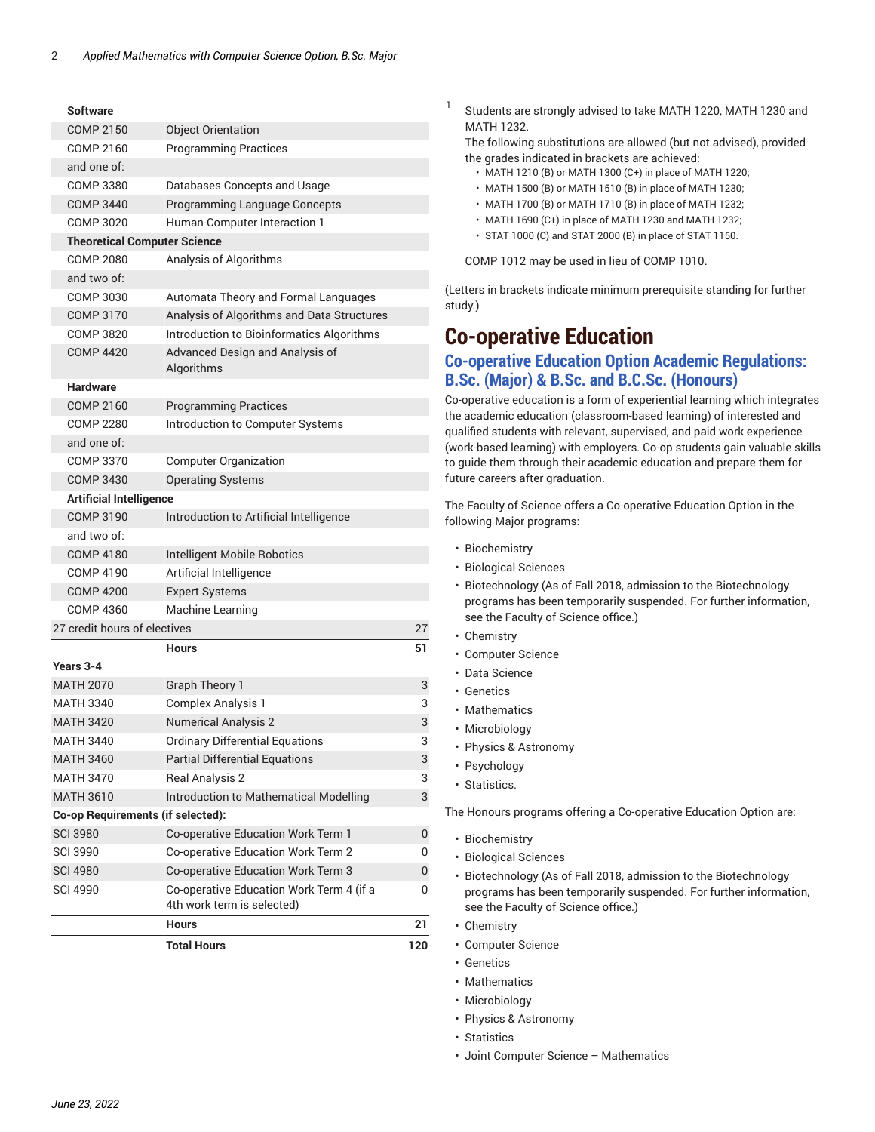#### **Software**

|                                     | <b>Total Hours</b>                                       | 120 |
|-------------------------------------|----------------------------------------------------------|-----|
|                                     | <b>Hours</b>                                             | 21  |
|                                     | 4th work term is selected)                               |     |
| <b>SCI 4990</b>                     | Co-operative Education Work Term 4 (if a                 | 0   |
| <b>SCI 4980</b>                     | Co-operative Education Work Term 3                       | 0   |
| <b>SCI 3990</b>                     | Co-operative Education Work Term 2                       | 0   |
| <b>SCI 3980</b>                     | Co-operative Education Work Term 1                       | 0   |
| Co-op Requirements (if selected):   |                                                          |     |
| <b>MATH 3610</b>                    | Introduction to Mathematical Modelling                   | 3   |
| <b>MATH 3470</b>                    | <b>Real Analysis 2</b>                                   | 3   |
| <b>MATH 3460</b>                    | <b>Partial Differential Equations</b>                    | 3   |
| <b>MATH 3440</b>                    | <b>Ordinary Differential Equations</b>                   | 3   |
| <b>MATH 3420</b>                    | <b>Complex Analysis 1</b><br><b>Numerical Analysis 2</b> | 3   |
| <b>MATH 3340</b>                    |                                                          | 3   |
| Years 3-4<br><b>MATH 2070</b>       | <b>Graph Theory 1</b>                                    | 3   |
|                                     | <b>Hours</b>                                             | 51  |
| 27 credit hours of electives        |                                                          | 27  |
| <b>COMP 4360</b>                    | Machine Learning                                         |     |
| <b>COMP 4200</b>                    | <b>Expert Systems</b>                                    |     |
| <b>COMP 4190</b>                    | Artificial Intelligence                                  |     |
| <b>COMP 4180</b>                    | Intelligent Mobile Robotics                              |     |
| and two of:                         |                                                          |     |
| <b>COMP 3190</b>                    | Introduction to Artificial Intelligence                  |     |
| <b>Artificial Intelligence</b>      |                                                          |     |
| <b>COMP 3430</b>                    | <b>Operating Systems</b>                                 |     |
| <b>COMP 3370</b>                    | <b>Computer Organization</b>                             |     |
| and one of:                         |                                                          |     |
| <b>COMP 2280</b>                    | Introduction to Computer Systems                         |     |
| <b>COMP 2160</b>                    | <b>Programming Practices</b>                             |     |
| <b>Hardware</b>                     |                                                          |     |
|                                     | Algorithms                                               |     |
| <b>COMP 4420</b>                    | Advanced Design and Analysis of                          |     |
| <b>COMP 3820</b>                    | Introduction to Bioinformatics Algorithms                |     |
| <b>COMP 3170</b>                    | Analysis of Algorithms and Data Structures               |     |
| <b>COMP 3030</b>                    | Automata Theory and Formal Languages                     |     |
| and two of:                         |                                                          |     |
| <b>COMP 2080</b>                    | Analysis of Algorithms                                   |     |
| <b>Theoretical Computer Science</b> |                                                          |     |
| COMP 3020                           | Human-Computer Interaction 1                             |     |
| <b>COMP 3440</b>                    | Programming Language Concepts                            |     |
| <b>COMP 3380</b>                    | Databases Concepts and Usage                             |     |
| and one of:                         |                                                          |     |
| COMP 2160                           | <b>Programming Practices</b>                             |     |
| <b>COMP 2150</b>                    | <b>Object Orientation</b>                                |     |

Students are strongly advised to take MATH 1220, MATH 1230 and MATH 1232.

The following substitutions are allowed (but not advised), provided the grades indicated in brackets are achieved:

- MATH 1210 (B) or MATH 1300 (C+) in place of MATH 1220;
- MATH 1500 (B) or MATH 1510 (B) in place of MATH 1230;
- MATH 1700 (B) or MATH 1710 (B) in place of MATH 1232;
- MATH 1690 (C+) in place of MATH 1230 and MATH 1232;
- STAT 1000 (C) and STAT 2000 (B) in place of STAT 1150.

COMP 1012 may be used in lieu of COMP 1010.

(Letters in brackets indicate minimum prerequisite standing for further study.)

## <span id="page-1-0"></span>**Co-operative Education**

### **Co-operative Education Option Academic Regulations: B.Sc. (Major) & B.Sc. and B.C.Sc. (Honours)**

Co-operative education is a form of experiential learning which integrates the academic education (classroom-based learning) of interested and qualified students with relevant, supervised, and paid work experience (work-based learning) with employers. Co-op students gain valuable skills to guide them through their academic education and prepare them for future careers after graduation.

The Faculty of Science offers a Co-operative Education Option in the following Major programs:

• Biochemistry

1

- Biological Sciences
- Biotechnology (As of Fall 2018, admission to the Biotechnology programs has been temporarily suspended. For further information, see the Faculty of Science office.)
- Chemistry
- Computer Science
- Data Science
- Genetics
- Mathematics
- Microbiology
- Physics & Astronomy
- Psychology
- Statistics.

The Honours programs offering a Co-operative Education Option are:

- Biochemistry
- Biological Sciences
- Biotechnology (As of Fall 2018, admission to the Biotechnology programs has been temporarily suspended. For further information, see the Faculty of Science office.)
- Chemistry
- Computer Science
- Genetics
	- Mathematics
	- Microbiology
	- Physics & Astronomy
	- Statistics
	- Joint Computer Science Mathematics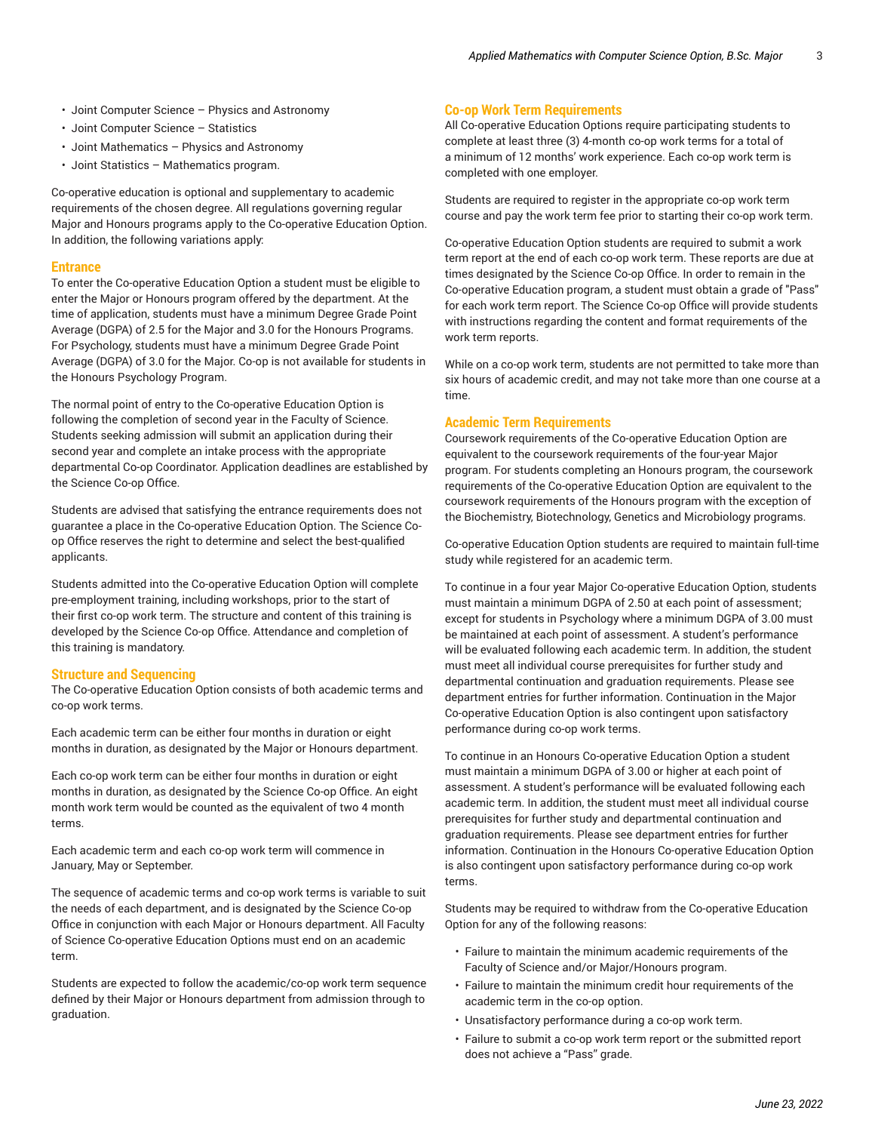- Joint Computer Science Physics and Astronomy
- Joint Computer Science Statistics
- Joint Mathematics Physics and Astronomy
- Joint Statistics Mathematics program.

Co-operative education is optional and supplementary to academic requirements of the chosen degree. All regulations governing regular Major and Honours programs apply to the Co-operative Education Option. In addition, the following variations apply:

#### **Entrance**

To enter the Co-operative Education Option a student must be eligible to enter the Major or Honours program offered by the department. At the time of application, students must have a minimum Degree Grade Point Average (DGPA) of 2.5 for the Major and 3.0 for the Honours Programs. For Psychology, students must have a minimum Degree Grade Point Average (DGPA) of 3.0 for the Major. Co-op is not available for students in the Honours Psychology Program.

The normal point of entry to the Co-operative Education Option is following the completion of second year in the Faculty of Science. Students seeking admission will submit an application during their second year and complete an intake process with the appropriate departmental Co-op Coordinator. Application deadlines are established by the Science Co-op Office.

Students are advised that satisfying the entrance requirements does not guarantee a place in the Co-operative Education Option. The Science Coop Office reserves the right to determine and select the best-qualified applicants.

Students admitted into the Co-operative Education Option will complete pre-employment training, including workshops, prior to the start of their first co-op work term. The structure and content of this training is developed by the Science Co-op Office. Attendance and completion of this training is mandatory.

#### **Structure and Sequencing**

The Co-operative Education Option consists of both academic terms and co-op work terms.

Each academic term can be either four months in duration or eight months in duration, as designated by the Major or Honours department.

Each co-op work term can be either four months in duration or eight months in duration, as designated by the Science Co-op Office. An eight month work term would be counted as the equivalent of two 4 month terms.

Each academic term and each co-op work term will commence in January, May or September.

The sequence of academic terms and co-op work terms is variable to suit the needs of each department, and is designated by the Science Co-op Office in conjunction with each Major or Honours department. All Faculty of Science Co-operative Education Options must end on an academic term.

Students are expected to follow the academic/co-op work term sequence defined by their Major or Honours department from admission through to graduation.

#### **Co-op Work Term Requirements**

All Co-operative Education Options require participating students to complete at least three (3) 4-month co-op work terms for a total of a minimum of 12 months' work experience. Each co-op work term is completed with one employer.

Students are required to register in the appropriate co-op work term course and pay the work term fee prior to starting their co-op work term.

Co-operative Education Option students are required to submit a work term report at the end of each co-op work term. These reports are due at times designated by the Science Co-op Office. In order to remain in the Co-operative Education program, a student must obtain a grade of "Pass" for each work term report. The Science Co-op Office will provide students with instructions regarding the content and format requirements of the work term reports.

While on a co-op work term, students are not permitted to take more than six hours of academic credit, and may not take more than one course at a time.

#### **Academic Term Requirements**

Coursework requirements of the Co-operative Education Option are equivalent to the coursework requirements of the four-year Major program. For students completing an Honours program, the coursework requirements of the Co-operative Education Option are equivalent to the coursework requirements of the Honours program with the exception of the Biochemistry, Biotechnology, Genetics and Microbiology programs.

Co-operative Education Option students are required to maintain full-time study while registered for an academic term.

To continue in a four year Major Co-operative Education Option, students must maintain a minimum DGPA of 2.50 at each point of assessment; except for students in Psychology where a minimum DGPA of 3.00 must be maintained at each point of assessment. A student's performance will be evaluated following each academic term. In addition, the student must meet all individual course prerequisites for further study and departmental continuation and graduation requirements. Please see department entries for further information. Continuation in the Major Co-operative Education Option is also contingent upon satisfactory performance during co-op work terms.

To continue in an Honours Co-operative Education Option a student must maintain a minimum DGPA of 3.00 or higher at each point of assessment. A student's performance will be evaluated following each academic term. In addition, the student must meet all individual course prerequisites for further study and departmental continuation and graduation requirements. Please see department entries for further information. Continuation in the Honours Co-operative Education Option is also contingent upon satisfactory performance during co-op work terms.

Students may be required to withdraw from the Co-operative Education Option for any of the following reasons:

- Failure to maintain the minimum academic requirements of the Faculty of Science and/or Major/Honours program.
- Failure to maintain the minimum credit hour requirements of the academic term in the co-op option.
- Unsatisfactory performance during a co-op work term.
- Failure to submit a co-op work term report or the submitted report does not achieve a "Pass" grade.